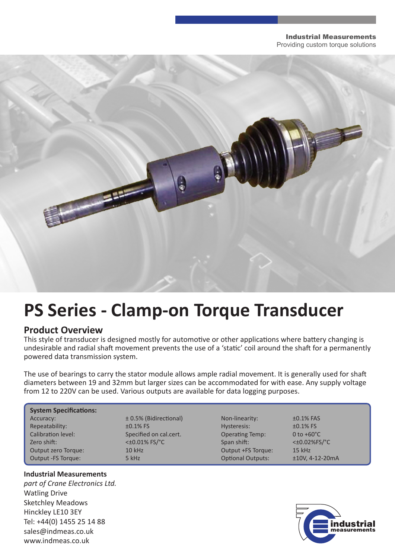### Industrial Measurements Providing custom torque solutions



# **PS Series - Clamp-on Torque Transducer**

### **Product Overview**

This style of transducer is designed mostly for automotive or other applications where battery changing is undesirable and radial shaft movement prevents the use of a 'static' coil around the shaft for a permanently powered data transmission system.

The use of bearings to carry the stator module allows ample radial movement. It is generally used for shaft diameters between 19 and 32mm but larger sizes can be accommodated for with ease. Any supply voltage from 12 to 220V can be used. Various outputs are available for data logging purposes.

## **System Specifications:**

Repeatability:  $\pm 0.1\%$  FS Hysteresis:  $\pm 0.1\%$  FS Calibration level: Specified on cal.cert. Calibration level: 0 to +60°C Zero shift:  $\lt t0.01\%$  FS/°C Span shift:  $\lt t0.02\%$ FS/°C Output zero Torque: 10 kHz Output +FS Torque: 15 kHz Output -FS Torque: 5 kHz Optional Outputs: ±10V, 4-12-20mA

# Accuracy:  $\pm 0.5\%$  (Bidirectional) Non-linearity:  $\pm 0.1\%$  FAS



### **Industrial Measurements**

*part of Crane Electronics Ltd.* Watling Drive Sketchley Meadows Hinckley LE10 3EY Tel: +44(0) 1455 25 14 88 sales@indmeas.co.uk www.indmeas.co.uk